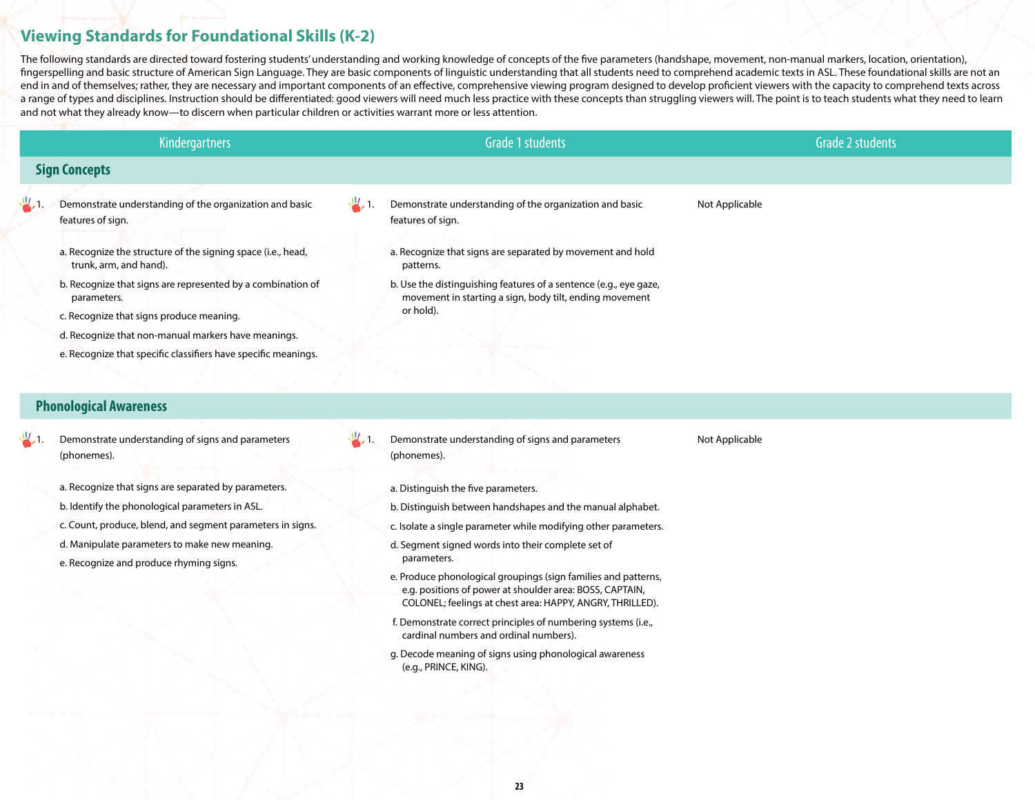## **Viewing Standards for Foundational Skills (K-2)**

The following standards are directed toward fostering students' understanding and working knowledge of concepts of the five parameters (handshape, movement, non-manual markers, location, orientation), fingerspelling and basic structure of American Sign Language. They are basic components of linguistic understanding that all students need to comprehend academic texts in ASL. These foundational skills are not an end in and of themselves; rather, they are necessary and important components of an effective, comprehensive viewing program designed to develop proficient viewers with the capacity to comprehend texts across a range of types and disciplines. Instruction should be differentiated: good viewers will need much less practice with these concepts than struggling viewers will. The point is to teach students what they need to learn and not what they already know—to discern when particular children or activities warrant more or less attention.

|                      | <b>Kindergartners</b>                                                                  | <b>Grade 1 students</b>                                                                                                      | <b>Grade 2 students</b> |  |  |  |  |  |
|----------------------|----------------------------------------------------------------------------------------|------------------------------------------------------------------------------------------------------------------------------|-------------------------|--|--|--|--|--|
| <b>Sign Concepts</b> |                                                                                        |                                                                                                                              |                         |  |  |  |  |  |
|                      | Demonstrate understanding of the organization and basic<br>features of sign.           | $\frac{10}{2}$ ,<br>Demonstrate understanding of the organization and basic<br>features of sign.                             | Not Applicable          |  |  |  |  |  |
|                      | a. Recognize the structure of the signing space (i.e., head,<br>trunk, arm, and hand). | a. Recognize that signs are separated by movement and hold<br>patterns.                                                      |                         |  |  |  |  |  |
|                      | b. Recognize that signs are represented by a combination of<br>parameters.             | b. Use the distinguishing features of a sentence (e.g., eye gaze,<br>movement in starting a sign, body tilt, ending movement |                         |  |  |  |  |  |
|                      | c. Recognize that signs produce meaning.                                               | or hold).                                                                                                                    |                         |  |  |  |  |  |
|                      | d. Recognize that non-manual markers have meanings.                                    |                                                                                                                              |                         |  |  |  |  |  |
|                      | e. Recognize that specific classifiers have specific meanings.                         |                                                                                                                              |                         |  |  |  |  |  |

## **Phonological Awareness**

- $\frac{1}{2}$ . Demonstrate understanding of signs and parameters (phonemes).
	- a. Recognize that signs are separated by parameters.
	- b. Identify the phonological parameters in ASL.
	- c. Count, produce, blend, and segment parameters in signs.
	- d. Manipulate parameters to make new meaning.
	- e. Recognize and produce rhyming signs.
- $\frac{1}{2}$ . Demonstrate understanding of signs and parameters (phonemes).
	- a. Distinguish the five parameters.
	- b. Distinguish between handshapes and the manual alphabet.
	- c. Isolate a single parameter while modifying other parameters.

Not Applicable

- d. Segment signed words into their complete set of parameters.
- e. Produce phonological groupings (sign families and patterns, e.g. positions of power at shoulder area: BOSS, CAPTAIN, COLONEL; feelings at chest area: HAPPY, ANGRY, THRILLED).
- f. Demonstrate correct principles of numbering systems (i.e., cardinal numbers and ordinal numbers).
- g. Decode meaning of signs using phonological awareness (e.g., PRINCE, KING).